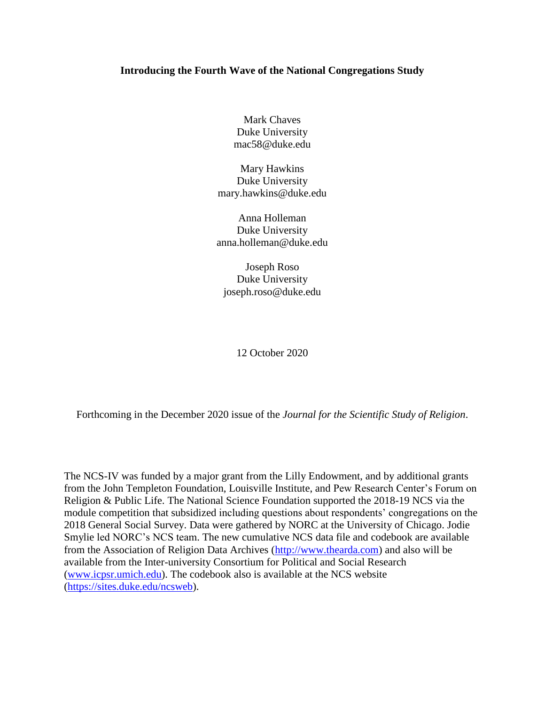# **Introducing the Fourth Wave of the National Congregations Study**

Mark Chaves Duke University mac58@duke.edu

Mary Hawkins Duke University mary.hawkins@duke.edu

Anna Holleman Duke University anna.holleman@duke.edu

Joseph Roso Duke University joseph.roso@duke.edu

12 October 2020

Forthcoming in the December 2020 issue of the *Journal for the Scientific Study of Religion*.

The NCS-IV was funded by a major grant from the Lilly Endowment, and by additional grants from the John Templeton Foundation, Louisville Institute, and Pew Research Center's Forum on Religion & Public Life. The National Science Foundation supported the 2018-19 NCS via the module competition that subsidized including questions about respondents' congregations on the 2018 General Social Survey. Data were gathered by NORC at the University of Chicago. Jodie Smylie led NORC's NCS team. The new cumulative NCS data file and codebook are available from the Association of Religion Data Archives [\(http://www.thearda.com\)](http://www.thearda.com/) and also will be available from the Inter-university Consortium for Political and Social Research [\(www.icpsr.umich.edu\)](http://www.icpsr.umich.edu/). The codebook also is available at the NCS website [\(https://sites.duke.edu/ncsweb\)](https://sites.duke.edu/ncsweb).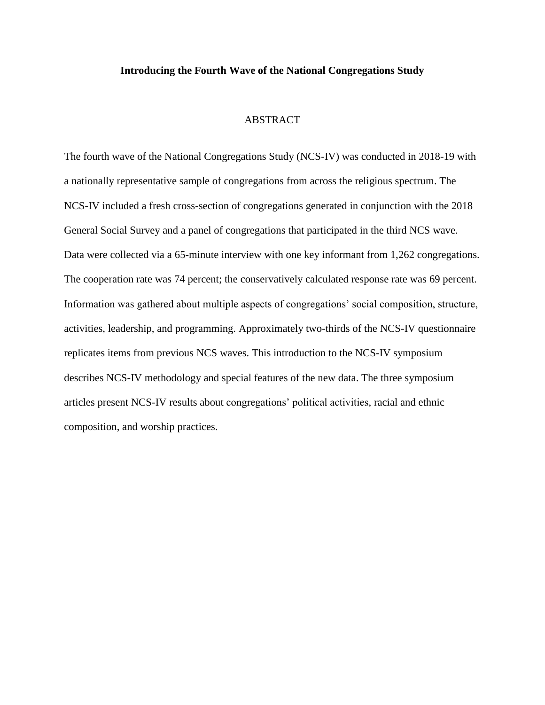# **Introducing the Fourth Wave of the National Congregations Study**

# ABSTRACT

The fourth wave of the National Congregations Study (NCS-IV) was conducted in 2018-19 with a nationally representative sample of congregations from across the religious spectrum. The NCS-IV included a fresh cross-section of congregations generated in conjunction with the 2018 General Social Survey and a panel of congregations that participated in the third NCS wave. Data were collected via a 65-minute interview with one key informant from 1,262 congregations. The cooperation rate was 74 percent; the conservatively calculated response rate was 69 percent. Information was gathered about multiple aspects of congregations' social composition, structure, activities, leadership, and programming. Approximately two-thirds of the NCS-IV questionnaire replicates items from previous NCS waves. This introduction to the NCS-IV symposium describes NCS-IV methodology and special features of the new data. The three symposium articles present NCS-IV results about congregations' political activities, racial and ethnic composition, and worship practices.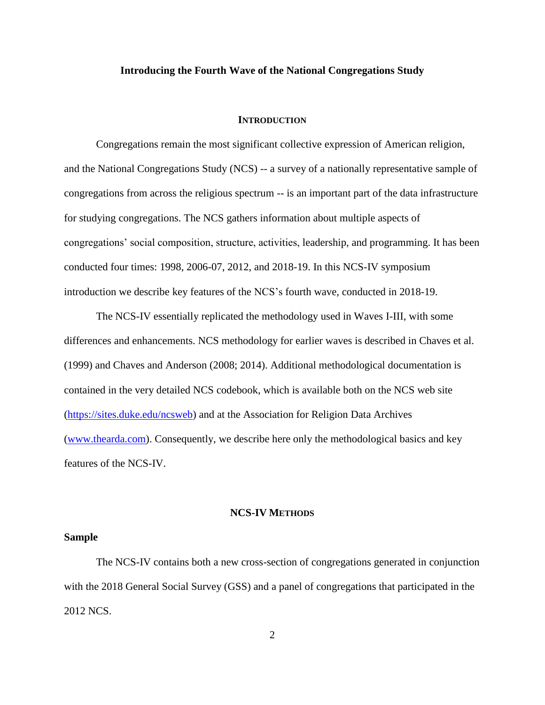# **Introducing the Fourth Wave of the National Congregations Study**

#### **INTRODUCTION**

Congregations remain the most significant collective expression of American religion, and the National Congregations Study (NCS) -- a survey of a nationally representative sample of congregations from across the religious spectrum -- is an important part of the data infrastructure for studying congregations. The NCS gathers information about multiple aspects of congregations' social composition, structure, activities, leadership, and programming. It has been conducted four times: 1998, 2006-07, 2012, and 2018-19. In this NCS-IV symposium introduction we describe key features of the NCS's fourth wave, conducted in 2018-19.

The NCS-IV essentially replicated the methodology used in Waves I-III, with some differences and enhancements. NCS methodology for earlier waves is described in Chaves et al. (1999) and Chaves and Anderson (2008; 2014). Additional methodological documentation is contained in the very detailed NCS codebook, which is available both on the NCS web site (https://sites.duke.edu/ncsweb) and at the Association for Religion Data Archives [\(www.thearda.com\)](http://www.thearda.com/). Consequently, we describe here only the methodological basics and key features of the NCS-IV.

#### **NCS-IV METHODS**

### **Sample**

The NCS-IV contains both a new cross-section of congregations generated in conjunction with the 2018 General Social Survey (GSS) and a panel of congregations that participated in the 2012 NCS.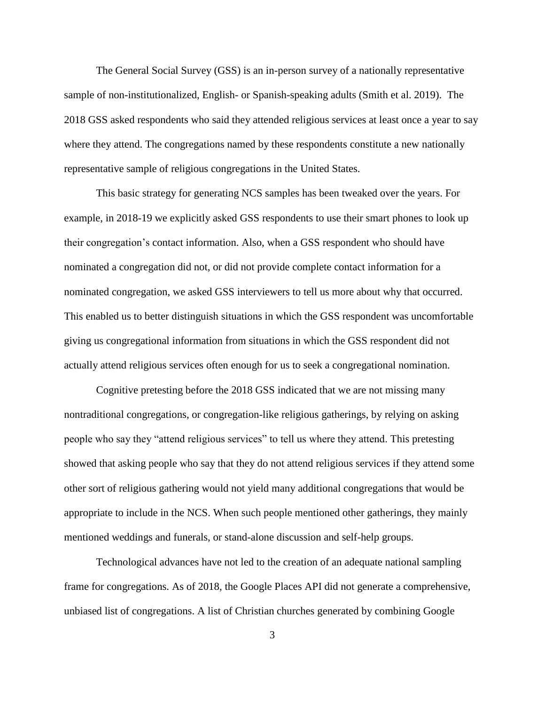The General Social Survey (GSS) is an in-person survey of a nationally representative sample of non-institutionalized, English- or Spanish-speaking adults (Smith et al. 2019). The 2018 GSS asked respondents who said they attended religious services at least once a year to say where they attend. The congregations named by these respondents constitute a new nationally representative sample of religious congregations in the United States.

This basic strategy for generating NCS samples has been tweaked over the years. For example, in 2018-19 we explicitly asked GSS respondents to use their smart phones to look up their congregation's contact information. Also, when a GSS respondent who should have nominated a congregation did not, or did not provide complete contact information for a nominated congregation, we asked GSS interviewers to tell us more about why that occurred. This enabled us to better distinguish situations in which the GSS respondent was uncomfortable giving us congregational information from situations in which the GSS respondent did not actually attend religious services often enough for us to seek a congregational nomination.

Cognitive pretesting before the 2018 GSS indicated that we are not missing many nontraditional congregations, or congregation-like religious gatherings, by relying on asking people who say they "attend religious services" to tell us where they attend. This pretesting showed that asking people who say that they do not attend religious services if they attend some other sort of religious gathering would not yield many additional congregations that would be appropriate to include in the NCS. When such people mentioned other gatherings, they mainly mentioned weddings and funerals, or stand-alone discussion and self-help groups.

Technological advances have not led to the creation of an adequate national sampling frame for congregations. As of 2018, the Google Places API did not generate a comprehensive, unbiased list of congregations. A list of Christian churches generated by combining Google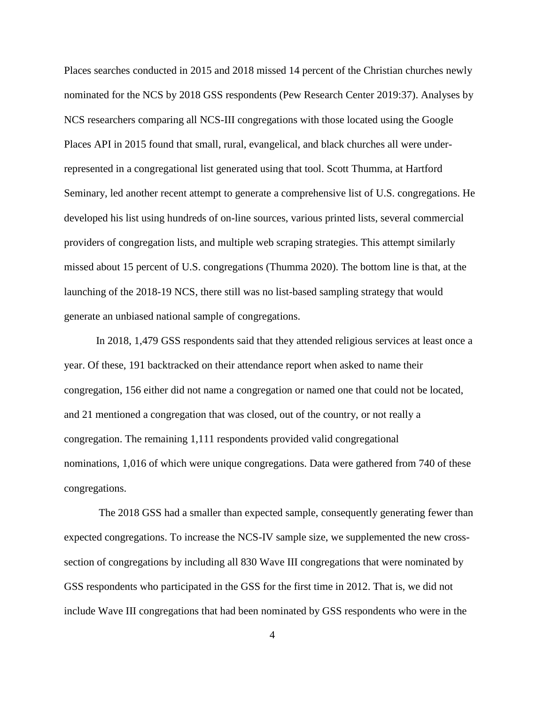Places searches conducted in 2015 and 2018 missed 14 percent of the Christian churches newly nominated for the NCS by 2018 GSS respondents (Pew Research Center 2019:37). Analyses by NCS researchers comparing all NCS-III congregations with those located using the Google Places API in 2015 found that small, rural, evangelical, and black churches all were underrepresented in a congregational list generated using that tool. Scott Thumma, at Hartford Seminary, led another recent attempt to generate a comprehensive list of U.S. congregations. He developed his list using hundreds of on-line sources, various printed lists, several commercial providers of congregation lists, and multiple web scraping strategies. This attempt similarly missed about 15 percent of U.S. congregations (Thumma 2020). The bottom line is that, at the launching of the 2018-19 NCS, there still was no list-based sampling strategy that would generate an unbiased national sample of congregations.

In 2018, 1,479 GSS respondents said that they attended religious services at least once a year. Of these, 191 backtracked on their attendance report when asked to name their congregation, 156 either did not name a congregation or named one that could not be located, and 21 mentioned a congregation that was closed, out of the country, or not really a congregation. The remaining 1,111 respondents provided valid congregational nominations, 1,016 of which were unique congregations. Data were gathered from 740 of these congregations.

The 2018 GSS had a smaller than expected sample, consequently generating fewer than expected congregations. To increase the NCS-IV sample size, we supplemented the new crosssection of congregations by including all 830 Wave III congregations that were nominated by GSS respondents who participated in the GSS for the first time in 2012. That is, we did not include Wave III congregations that had been nominated by GSS respondents who were in the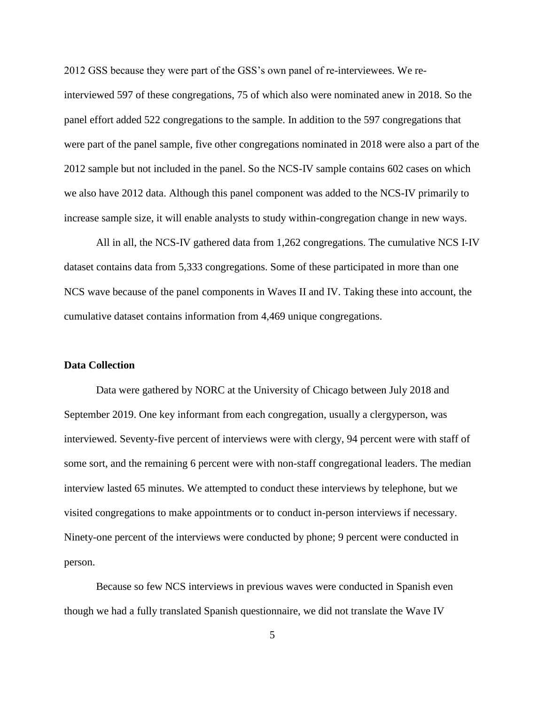2012 GSS because they were part of the GSS's own panel of re-interviewees. We reinterviewed 597 of these congregations, 75 of which also were nominated anew in 2018. So the panel effort added 522 congregations to the sample. In addition to the 597 congregations that were part of the panel sample, five other congregations nominated in 2018 were also a part of the 2012 sample but not included in the panel. So the NCS-IV sample contains 602 cases on which we also have 2012 data. Although this panel component was added to the NCS-IV primarily to increase sample size, it will enable analysts to study within-congregation change in new ways.

All in all, the NCS-IV gathered data from 1,262 congregations. The cumulative NCS I-IV dataset contains data from 5,333 congregations. Some of these participated in more than one NCS wave because of the panel components in Waves II and IV. Taking these into account, the cumulative dataset contains information from 4,469 unique congregations.

### **Data Collection**

Data were gathered by NORC at the University of Chicago between July 2018 and September 2019. One key informant from each congregation, usually a clergyperson, was interviewed. Seventy-five percent of interviews were with clergy, 94 percent were with staff of some sort, and the remaining 6 percent were with non-staff congregational leaders. The median interview lasted 65 minutes. We attempted to conduct these interviews by telephone, but we visited congregations to make appointments or to conduct in-person interviews if necessary. Ninety-one percent of the interviews were conducted by phone; 9 percent were conducted in person.

Because so few NCS interviews in previous waves were conducted in Spanish even though we had a fully translated Spanish questionnaire, we did not translate the Wave IV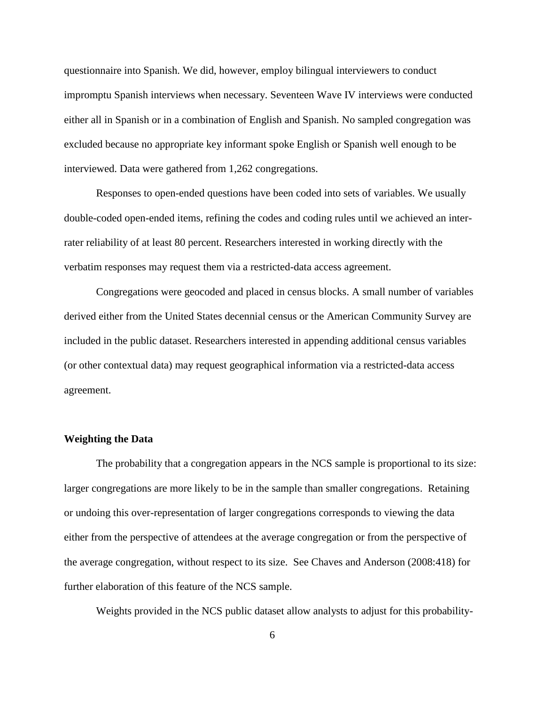questionnaire into Spanish. We did, however, employ bilingual interviewers to conduct impromptu Spanish interviews when necessary. Seventeen Wave IV interviews were conducted either all in Spanish or in a combination of English and Spanish. No sampled congregation was excluded because no appropriate key informant spoke English or Spanish well enough to be interviewed. Data were gathered from 1,262 congregations.

Responses to open-ended questions have been coded into sets of variables. We usually double-coded open-ended items, refining the codes and coding rules until we achieved an interrater reliability of at least 80 percent. Researchers interested in working directly with the verbatim responses may request them via a restricted-data access agreement.

Congregations were geocoded and placed in census blocks. A small number of variables derived either from the United States decennial census or the American Community Survey are included in the public dataset. Researchers interested in appending additional census variables (or other contextual data) may request geographical information via a restricted-data access agreement.

### **Weighting the Data**

The probability that a congregation appears in the NCS sample is proportional to its size: larger congregations are more likely to be in the sample than smaller congregations. Retaining or undoing this over-representation of larger congregations corresponds to viewing the data either from the perspective of attendees at the average congregation or from the perspective of the average congregation, without respect to its size. See Chaves and Anderson (2008:418) for further elaboration of this feature of the NCS sample.

Weights provided in the NCS public dataset allow analysts to adjust for this probability-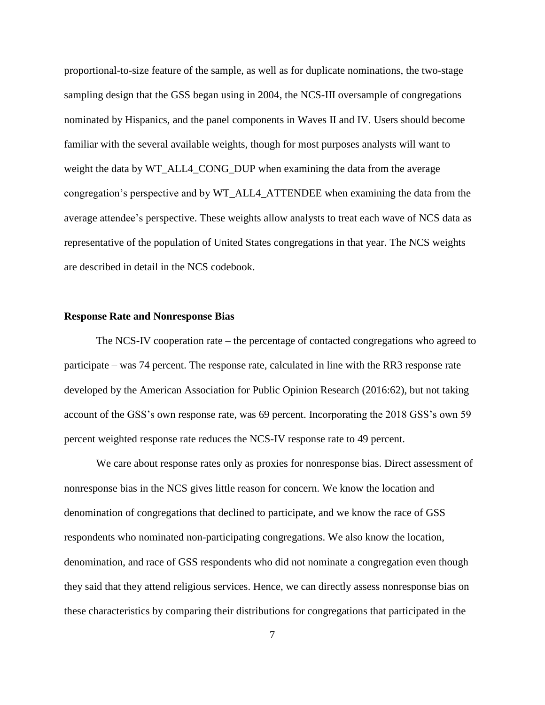proportional-to-size feature of the sample, as well as for duplicate nominations, the two-stage sampling design that the GSS began using in 2004, the NCS-III oversample of congregations nominated by Hispanics, and the panel components in Waves II and IV. Users should become familiar with the several available weights, though for most purposes analysts will want to weight the data by WT\_ALL4\_CONG\_DUP when examining the data from the average congregation's perspective and by WT\_ALL4\_ATTENDEE when examining the data from the average attendee's perspective. These weights allow analysts to treat each wave of NCS data as representative of the population of United States congregations in that year. The NCS weights are described in detail in the NCS codebook.

#### **Response Rate and Nonresponse Bias**

The NCS-IV cooperation rate – the percentage of contacted congregations who agreed to participate – was 74 percent. The response rate, calculated in line with the RR3 response rate developed by the American Association for Public Opinion Research (2016:62), but not taking account of the GSS's own response rate, was 69 percent. Incorporating the 2018 GSS's own 59 percent weighted response rate reduces the NCS-IV response rate to 49 percent.

We care about response rates only as proxies for nonresponse bias. Direct assessment of nonresponse bias in the NCS gives little reason for concern. We know the location and denomination of congregations that declined to participate, and we know the race of GSS respondents who nominated non-participating congregations. We also know the location, denomination, and race of GSS respondents who did not nominate a congregation even though they said that they attend religious services. Hence, we can directly assess nonresponse bias on these characteristics by comparing their distributions for congregations that participated in the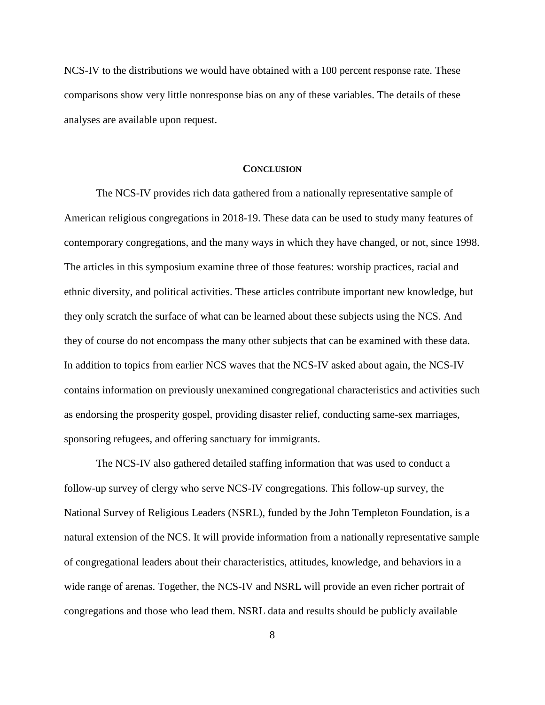NCS-IV to the distributions we would have obtained with a 100 percent response rate. These comparisons show very little nonresponse bias on any of these variables. The details of these analyses are available upon request.

#### **CONCLUSION**

The NCS-IV provides rich data gathered from a nationally representative sample of American religious congregations in 2018-19. These data can be used to study many features of contemporary congregations, and the many ways in which they have changed, or not, since 1998. The articles in this symposium examine three of those features: worship practices, racial and ethnic diversity, and political activities. These articles contribute important new knowledge, but they only scratch the surface of what can be learned about these subjects using the NCS. And they of course do not encompass the many other subjects that can be examined with these data. In addition to topics from earlier NCS waves that the NCS-IV asked about again, the NCS-IV contains information on previously unexamined congregational characteristics and activities such as endorsing the prosperity gospel, providing disaster relief, conducting same-sex marriages, sponsoring refugees, and offering sanctuary for immigrants.

The NCS-IV also gathered detailed staffing information that was used to conduct a follow-up survey of clergy who serve NCS-IV congregations. This follow-up survey, the National Survey of Religious Leaders (NSRL), funded by the John Templeton Foundation, is a natural extension of the NCS. It will provide information from a nationally representative sample of congregational leaders about their characteristics, attitudes, knowledge, and behaviors in a wide range of arenas. Together, the NCS-IV and NSRL will provide an even richer portrait of congregations and those who lead them. NSRL data and results should be publicly available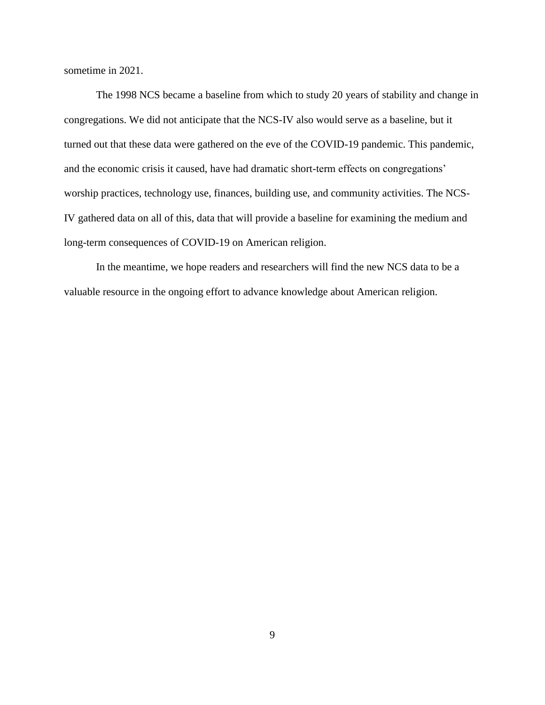sometime in 2021.

The 1998 NCS became a baseline from which to study 20 years of stability and change in congregations. We did not anticipate that the NCS-IV also would serve as a baseline, but it turned out that these data were gathered on the eve of the COVID-19 pandemic. This pandemic, and the economic crisis it caused, have had dramatic short-term effects on congregations' worship practices, technology use, finances, building use, and community activities. The NCS-IV gathered data on all of this, data that will provide a baseline for examining the medium and long-term consequences of COVID-19 on American religion.

In the meantime, we hope readers and researchers will find the new NCS data to be a valuable resource in the ongoing effort to advance knowledge about American religion.